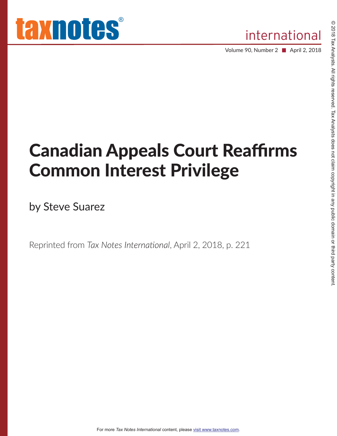Volume 90, Number 2 ■ April 2, 2018

# **Canadian Appeals Court Reaffirms Common Interest Privilege**

by Steve Suarez

Reprinted from Tax Notes International, April 2, 2018, p. 221

For more Tax Notes International content, please visit www.taxnotes.com.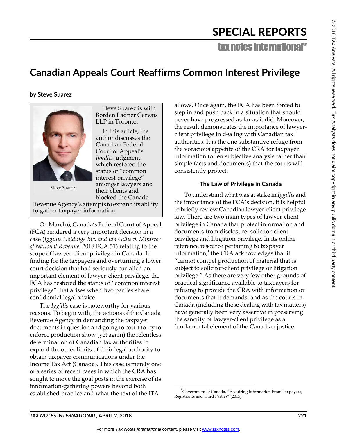## SPECIAL REPORTS

tax notes international®

### Canadian Appeals Court Reaffirms Common Interest Privilege

#### by Steve Suarez

Steve Suarez is with Borden Ladner Gervais LLP in Toronto. In this article, the

author discusses the Canadian Federal Court of Appeal's *Iggillis* judgment, which restored the status of "common interest privilege amongst lawyers and their clients and blocked the Canada

Revenue Agency's attempts to expand its ability to gather taxpayer information.

On March 6, Canada's Federal Court of Appeal (FCA) rendered a very important decision in a case (*Iggillis Holdings Inc. and Ian Gillis v. Minister of National Revenue*, 2018 FCA 51) relating to the scope of lawyer-client privilege in Canada. In finding for the taxpayers and overturning a lower court decision that had seriously curtailed an important element of lawyer-client privilege, the FCA has restored the status of "common interest privilege" that arises when two parties share confidential legal advice.

The *Iggillis* case is noteworthy for various reasons. To begin with, the actions of the Canada Revenue Agency in demanding the taxpayer documents in question and going to court to try to enforce production show (yet again) the relentless determination of Canadian tax authorities to expand the outer limits of their legal authority to obtain taxpayer communications under the Income Tax Act (Canada). This case is merely one of a series of recent cases in which the CRA has sought to move the goal posts in the exercise of its information-gathering powers beyond both established practice and what the text of the ITA

allows. Once again, the FCA has been forced to step in and push back in a situation that should never have progressed as far as it did. Moreover, the result demonstrates the importance of lawyerclient privilege in dealing with Canadian tax authorities. It is the one substantive refuge from the voracious appetite of the CRA for taxpayer information (often subjective analysis rather than simple facts and documents) that the courts will consistently protect.

#### The Law of Privilege in Canada

To understand what was at stake in *Iggillis* and the importance of the FCA's decision, it is helpful to briefly review Canadian lawyer-client privilege law. There are two main types of lawyer-client privilege in Canada that protect information and documents from disclosure: solicitor-client privilege and litigation privilege. In its online reference resource pertaining to taxpayer information,<sup>1</sup> the CRA acknowledges that it cannot compel production of material that is subject to solicitor-client privilege or litigation privilege." As there are very few other grounds of practical significance available to taxpayers for refusing to provide the CRA with information or documents that it demands, and as the courts in Canada (including those dealing with tax matters) have generally been very assertive in preserving the sanctity of lawyer-client privilege as a fundamental element of the Canadian justice

© 2018



**Steve Suarez** 



 $1$  Government of Canada, "Acquiring Information From Taxpayers, Registrants and Third Parties" (2015).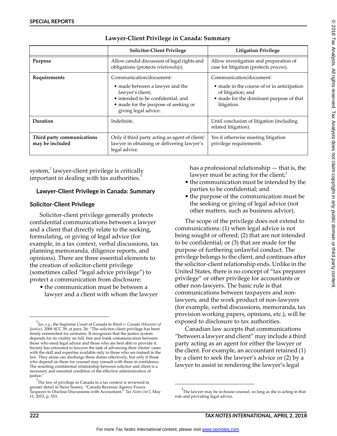|                                               | <b>Solicitor-Client Privilege</b>                                                                                                                                                    | <b>Litigation Privilege</b>                                                                                                                           |
|-----------------------------------------------|--------------------------------------------------------------------------------------------------------------------------------------------------------------------------------------|-------------------------------------------------------------------------------------------------------------------------------------------------------|
| Purpose                                       | Allow candid discussion of legal rights and<br>obligations (protects relationship).                                                                                                  | Allow investigation and preparation of<br>case for litigation (protects process).                                                                     |
| Requirements                                  | Communication/document:<br>• made between a lawyer and the<br>lawyer's client;<br>• intended to be confidential; and<br>• made for the purpose of seeking or<br>giving legal advice. | Communication/document:<br>• made in the course of or in anticipation<br>of litigation; and<br>• made for the dominant purpose of that<br>litigation. |
| Duration                                      | Indefinite.                                                                                                                                                                          | Until conclusion of litigation (including<br>related litigation).                                                                                     |
| Third party communications<br>may be included | Only if third party acting as agent of client/<br>lawyer in obtaining or delivering lawyer's<br>legal advice.                                                                        | Yes if otherwise meeting litigation<br>privilege requirements.                                                                                        |

#### Lawyer-Client Privilege in Canada: Summary

system,<sup>2</sup> lawyer-client privilege is critically important in dealing with tax authorities.<sup>3</sup>

#### Lawyer-Client Privilege in Canada: Summary

#### Solicitor-Client Privilege

Solicitor-client privilege generally protects confidential communications between a lawyer and a client that directly relate to the seeking, formulating, or giving of legal advice (for example, in a tax context, verbal discussions, tax planning memoranda, diligence reports, and opinions). There are three essential elements to the creation of solicitor-client privilege (sometimes called "legal advice privilege") to protect a communication from disclosure:

• the communication must be between a lawyer and a client with whom the lawyer has a professional relationship  $-$  that is, the lawyer must be acting for the client; $^4$ 

- the communication must be intended by the parties to be confidential; and
- the purpose of the communication must be the seeking or giving of legal advice (not other matters, such as business advice).

The scope of the privilege does not extend to communications: (1) when legal advice is not being sought or offered; (2) that are not intended to be confidential; or (3) that are made for the purpose of furthering unlawful conduct. The privilege belongs to the client, and continues after the solicitor-client relationship ends. Unlike in the United States, there is no concept of "tax preparer" privilege" or other privilege for accountants or other non-lawyers. The basic rule is that communications between taxpayers and nonlawyers, and the work product of non-lawyers (for example, verbal discussions, memoranda, tax provision working papers, opinions, etc.), will be exposed to disclosure to tax authorities.

Canadian law accepts that communications "between a lawyer and client" may include a third party acting as an agent for either the lawyer or the client. For example, an accountant retained (1) by a client to seek the lawyer's advice or (2) by a lawyer to assist in rendering the lawyer's legal

<sup>2</sup> *See, e.g.*, the Supreme Court of Canada in *Blank v. Canada (Minister of*  Justice), 2006 SCC 39, at para. 26: "The solicitor-client privilege has been firmly entrenched for centuries. It recognizes that the justice system depends for its vitality on full, free and frank communication between those who need legal advice and those who are best able to provide it. Society has entrusted to lawyers the task of advancing their clients' cases with the skill and expertise available only to those who are trained in the law. They alone can discharge these duties effectively, but only if those who depend on them for counsel may consult with them in confidence. The resulting confidential relationship between solicitor and client is a necessary and essential condition of the effective administration of justice.

 $3\overline{ }$ The law of privilege in Canada in a tax context is reviewed in greater detail in Steve Suarez, "Canada Revenue Agency Forces Taxpayer to Disclose Discussions with Accountant," Tax Notes Int'l, May 11, 2015, p. 553.

 $^{4}$ The lawyer may be in-house counsel, so long as she is acting in that role and providing legal advice.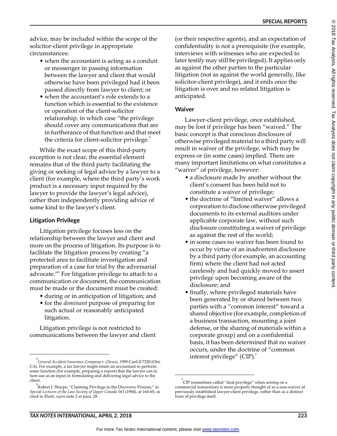© 2018 Tax Analysts. ≧ rights reserved. Tax Analysts does not claim copyright 2. any public domain or third<br>E party content.

advice, may be included within the scope of the solicitor-client privilege in appropriate circumstances:

- when the accountant is acting as a conduit or messenger in passing information between the lawyer and client that would otherwise have been privileged had it been passed directly from lawyer to client; or
- when the accountant's role extends to a function which is essential to the existence or operation of the client-solicitor relationship, in which case "the privilege should cover any communications that are in furtherance of that function and that meet the criteria for client-solicitor privilege. $5$

While the exact scope of this third-party exception is not clear, the essential element remains that of the third party facilitating the giving or seeking of legal advice by a lawyer to a client (for example, where the third party's work product is a necessary input required by the lawyer to provide the lawyer's legal advice), rather than independently providing advice of some kind to the lawyer's client.

#### Litigation Privilege

Litigation privilege focuses less on the relationship between the lawyer and client and more on the process of litigation. Its purpose is to facilitate the litigation process by creating "a protected area to facilitate investigation and preparation of a case for trial by the adversarial advocate."<sup>6</sup> For litigation privilege to attach to a communication or document, the communication must be made or the document must be created:

- during or in anticipation of litigation; and
- for the *dominant* purpose of preparing for such actual or reasonably anticipated litigation.

Litigation privilege is not restricted to communications between the lawyer and client

(or their respective agents), and an expectation of confidentiality is not a prerequisite (for example, interviews with witnesses who are expected to later testify may still be privileged). It applies only as against the other parties to the particular litigation (not as against the world generally, like solicitor-client privilege), and it ends once the litigation is over and no related litigation is anticipated.

#### **Waiver**

Lawyer-client privilege, once established, may be lost if privilege has been "waived." The basic concept is that conscious disclosure of otherwise privileged material to a third party will result in waiver of the privilege, which may be express or (in some cases) implied. There are many important limitations on what constitutes a "waiver" of privilege, however:

- a disclosure made by another without the client's consent has been held not to constitute a waiver of privilege;
- the doctrine of "limited waiver" allows a corporation to disclose otherwise privileged documents to its external auditors under applicable corporate law, without such disclosure constituting a waiver of privilege as against the rest of the world;
- in some cases no waiver has been found to occur by virtue of an inadvertent disclosure by a third party (for example, an accounting firm) where the client had not acted carelessly and had quickly moved to assert privilege upon becoming aware of the disclosure; and
- finally, where privileged materials have been generated by or shared between two parties with a "common interest" toward a shared objective (for example, completion of a business transaction, mounting a joint defense, or the sharing of materials within a corporate group) and on a confidential basis, it has been determined that no waiver occurs, under the doctrine of "common interest privilege" (CIP). $^7$

<sup>5</sup> *General Accident Insurance Company v. Chrusz*, 1999 CanLII 7320 (Ont. CA). For example, a tax lawyer might retain an accountant to perform some function (for example, preparing a report) that the lawyer can in turn use as an input in formulating and delivering legal advice to the client.

 $\rm ^{6}$ Robert J. Sharpe, "Claiming Privilege in the Discovery Process," in *Special Lectures of the Law Society of Upper Canada* 163 (1984), at 164-65, as cited in *Blank*, *supra* note 2 at para. 28.

 $\int^7$ CIP (sometimes called "deal privilege" when arising on a commercial transaction) is more properly thought of as a non-waiver of previously established lawyer-client privilege, rather than as a distinct form of privilege itself.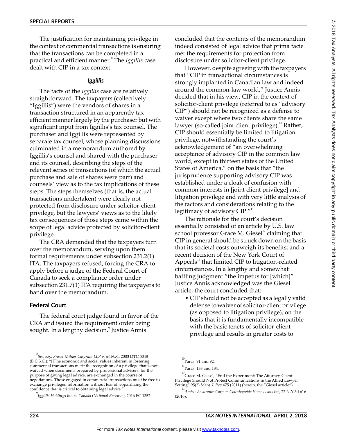The justification for maintaining privilege in the context of commercial transactions is ensuring that the transactions can be completed in a practical and efficient manner.<sup>8</sup> The *Iggillis* case dealt with CIP in a tax context.

#### *Iggillis*

The facts of the *Iggillis* case are relatively straightforward. The taxpayers (collectively "Iggillis") were the vendors of shares in a transaction structured in an apparently taxefficient manner largely by the purchaser but with significant input from Iggillis's tax counsel. The purchaser and Iggillis were represented by separate tax counsel, whose planning discussions culminated in a memorandum authored by Iggillis's counsel and shared with the purchaser and its counsel, describing the steps of the relevant series of transactions (of which the actual purchase and sale of shares were part) and counsels' view as to the tax implications of these steps. The steps themselves (that is, the actual transactions undertaken) were clearly not protected from disclosure under solicitor-client privilege, but the lawyers' views as to the likely tax consequences of those steps came within the scope of legal advice protected by solicitor-client privilege.

The CRA demanded that the taxpayers turn over the memorandum, serving upon them formal requirements under subsection 231.2(1) ITA. The taxpayers refused, forcing the CRA to apply before a judge of the Federal Court of Canada to seek a compliance order under subsection 231.7(1) ITA requiring the taxpayers to hand over the memorandum.

#### Federal Court

The federal court judge found in favor of the CRA and issued the requirement order being sought. In a lengthy decision,<sup>9</sup> Justice Annis

concluded that the contents of the memorandum indeed consisted of legal advice that prima facie met the requirements for protection from disclosure under solicitor-client privilege.

However, despite agreeing with the taxpayers that "CIP in transactional circumstances is strongly implanted in Canadian law and indeed around the common-law world," Justice Annis decided that in his view, CIP in the context of solicitor-client privilege (referred to as "advisory CIP") should not be recognized as a defense to waiver except where two clients share the same lawyer (so-called joint client privilege).<sup>10</sup> Rather, CIP should essentially be limited to litigation privilege, notwithstanding the court's acknowledgement of "an overwhelming acceptance of advisory CIP in the common law world, except in thirteen states of the United States of America," on the basis that "the jurisprudence supporting advisory CIP was established under a cloak of confusion with common interests in [joint client privilege] and litigation privilege and with very little analysis of the factors and considerations relating to the legitimacy of advisory CIP."<sup>11</sup>

The rationale for the court's decision essentially consisted of an article by U.S. law school professor Grace M. Giesel $12$  claiming that CIP in general should be struck down on the basis that its societal costs outweigh its benefits; and a recent decision of the New York Court of Appeals $^{13}$  that limited CIP to litigation-related circumstances. In a lengthy and somewhat baffling judgment "the impetus for [which]" Justice Annis acknowledged was the Giesel article, the court concluded that:

 CIP should not be accepted as a legally valid defense to waiver of solicitor-client privilege (as opposed to litigation privilege), on the basis that it is fundamentally incompatible with the basic tenets of solicitor-client privilege and results in greater costs to

<sup>8</sup> *See, e.g.*, *Fraser Milner Casgrain LLP v. M.N.R.*, 2003 DTC 5048 (B.C.S.C.): "[T]he economic and social values inherent in fostering commercial transactions merit the recognition of a privilege that is not waived when documents prepared by professional advisers, for the purpose of giving legal advice, are exchanged in the course of negotiations. Those engaged in commercial transactions must be free to exchange privileged information without fear of jeopardizing the confidence that is critical to obtaining legal advice.

<sup>9</sup> *Iggillis Holdings Inc. v. Canada (National Revenue)*, 2016 FC 1352.

<sup>10</sup> Paras. 91 and 92.

 $^{11}$ Paras. 133 and 134.

 $^{12}$ Grace M. Giesel, "End the Experiment: The Attorney-Client Privilege Should Not Protect Communications in the Allied Lawyer Setting" 95(2) *Marq. L Rev* 475 (2011) (herein, the "Giesel article").

<sup>13</sup> *Ambac Assurance Corp. v. Countrywide Home Loans Inc*, 27 N.Y.3d 616 (2016).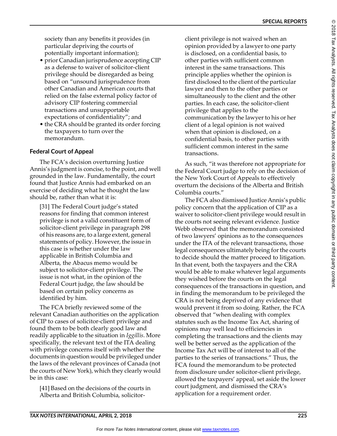© 2018

Tax

Analysts.

≧ rights

reserved.

Tax

Analysts

does not claim

copyright

2. any

public

domain

or third<br>E

society than any benefits it provides (in particular depriving the courts of potentially important information);

- prior Canadian jurisprudence accepting CIP as a defense to waiver of solicitor-client privilege should be disregarded as being based on "unsound jurisprudence from other Canadian and American courts that relied on the false external policy factor of advisory CIP fostering commercial transactions and unsupportable expectations of confidentiality"; and
- the CRA should be granted its order forcing the taxpayers to turn over the memorandum.

#### Federal Court of Appeal

The FCA's decision overturning Justice Annis's judgment is concise, to the point, and well grounded in the law. Fundamentally, the court found that Justice Annis had embarked on an exercise of deciding what he thought the law should be, rather than what it is:

[31] The Federal Court judge's stated reasons for finding that common interest privilege is not a valid constituent form of solicitor-client privilege in paragraph 298 of his reasons are, to a large extent, general statements of policy. However, the issue in this case is whether under the law applicable in British Columbia and Alberta, the Abacus memo would be subject to solicitor-client privilege. The issue is not what, in the opinion of the Federal Court judge, the law should be based on certain policy concerns as identified by him.

The FCA briefly reviewed some of the relevant Canadian authorities on the application of CIP to cases of solicitor-client privilege and found them to be both clearly good law and readily applicable to the situation in *Iggillis*. More specifically, the relevant text of the ITA dealing with privilege concerns itself with whether the documents in question would be privileged under the laws of the relevant provinces of Canada (not the courts of New York), which they clearly would be in this case:

[41] Based on the decisions of the courts in Alberta and British Columbia, solicitor-

client privilege is not waived when an opinion provided by a lawyer to one party is disclosed, on a confidential basis, to other parties with sufficient common interest in the same transactions. This principle applies whether the opinion is first disclosed to the client of the particular lawyer and then to the other parties or simultaneously to the client and the other parties. In each case, the solicitor-client privilege that applies to the communication by the lawyer to his or her client of a legal opinion is not waived when that opinion is disclosed, on a confidential basis, to other parties with sufficient common interest in the same transactions.

As such, "it was therefore not appropriate for the Federal Court judge to rely on the decision of the New York Court of Appeals to effectively overturn the decisions of the Alberta and British Columbia courts.

The FCA also dismissed Justice Annis's public policy concern that the application of CIP as a waiver to solicitor-client privilege would result in the courts not seeing relevant evidence. Justice Webb observed that the memorandum consisted of two lawyers' opinions as to the consequences under the ITA of the relevant transactions, those legal consequences ultimately being for the courts to decide should the matter proceed to litigation. In that event, both the taxpayers and the CRA would be able to make whatever legal arguments they wished before the courts on the legal consequences of the transactions in question, and in finding the memorandum to be privileged the CRA is not being deprived of any evidence that would prevent it from so doing. Rather, the FCA observed that "when dealing with complex statutes such as the Income Tax Act, sharing of opinions may well lead to efficiencies in completing the transactions and the clients may well be better served as the application of the Income Tax Act will be of interest to all of the parties to the series of transactions." Thus, the FCA found the memorandum to be protected from disclosure under solicitor-client privilege, allowed the taxpayers' appeal, set aside the lower court judgment, and dismissed the CRA's application for a requirement order.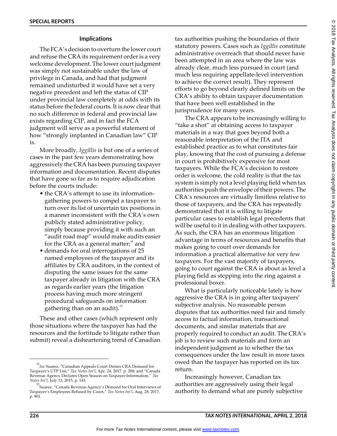©

#### Implications

The FCA's decision to overturn the lower court and refuse the CRA its requirement order is a very welcome development. The lower court judgment was simply not sustainable under the law of privilege in Canada, and had that judgment remained undisturbed it would have set a very negative precedent and left the status of CIP under provincial law completely at odds with its status before the federal courts. It is now clear that no such difference in federal and provincial law exists regarding CIP, and in fact the FCA judgment will serve as a powerful statement of how "strongly implanted in Canadian law" CIP is.

More broadly, *Iggillis* is but one of a series of cases in the past few years demonstrating how aggressively the CRA has been pursuing taxpayer information and documentation. Recent disputes that have gone so far as to require adjudication before the courts include:

- the CRA's attempt to use its informationgathering powers to compel a taxpayer to turn over its list of uncertain tax positions in a manner inconsistent with the CRA's own publicly stated administrative policy, simply because providing it with such an "audit road map" would make audits easier for the CRA as a general matter; $14$  and
- demands for oral interrogations of 25 named employees of the taxpayer and its affiliates by CRA auditors, in the context of disputing the same issues for the same taxpayer already in litigation with the CRA as regards earlier years (the litigation process having much more stringent procedural safeguards on information gathering than on an audit). $^{15}$

These and other cases (which represent only those situations where the taxpayer has had the resources and the fortitude to litigate rather than submit) reveal a disheartening trend of Canadian tax authorities pushing the boundaries of their statutory powers. Cases such as *Iggillis* constitute administrative overreach that should never have been attempted in an area where the law was already clear, much less pursued in court (and much less requiring appellate-level intervention to achieve the correct result). They represent efforts to go beyond clearly defined limits on the CRA's ability to obtain taxpayer documentation that have been well established in the jurisprudence for many years.

The CRA appears to be increasingly willing to "take a shot" at obtaining access to taxpayer materials in a way that goes beyond both a reasonable interpretation of the ITA and established practice as to what constitutes fair play, knowing that the cost of pursuing a defense in court is prohibitively expensive for most taxpayers. While the FCA's decision to restore order is welcome, the cold reality is that the tax system is simply not a level playing field when tax authorities push the envelope of their powers. The CRA's resources are virtually limitless relative to those of taxpayers, and the CRA has repeatedly demonstrated that it is willing to litigate particular cases to establish legal precedents that will be useful to it in dealing with other taxpayers. As such, the CRA has an enormous litigation advantage in terms of resources and benefits that makes going to court over demands for information a practical alternative for very few taxpayers. For the vast majority of taxpayers, going to court against the CRA is about as level a playing field as stepping into the ring against a professional boxer.

What is particularly noticeable lately is how aggressive the CRA is in going after taxpayers subjective analysis. No reasonable person disputes that tax authorities need fair and timely access to factual information, transactional documents, and similar materials that are properly required to conduct an audit. The CRA's job is to review such materials and form an independent judgment as to whether the tax consequences under the law result in more taxes owed than the taxpayer has reported on its tax return.

Increasingly however, Canadian tax authorities are aggressively using their legal authority to demand what are purely subjective

<sup>&</sup>lt;sup>14</sup> See Suarez, "Canadian Appeals Court Denies CRA Demand for Taxpayer's UTP List," *Tax Notes Int'l,* Apr. 24, 2017, p. 288; and "Canada Revenue Agency Declares Open Season on Taxpayer Information," Tax *Notes Intl*, July 13, 2015, p. 143.

<sup>&</sup>lt;sup>15</sup> Suarez, "Canada Revenue Agency's Demand for Oral Interviews of Taxpayer's Employees Refused by Court," Tax Notes Int'l, Aug. 28, 2017, p. 901.